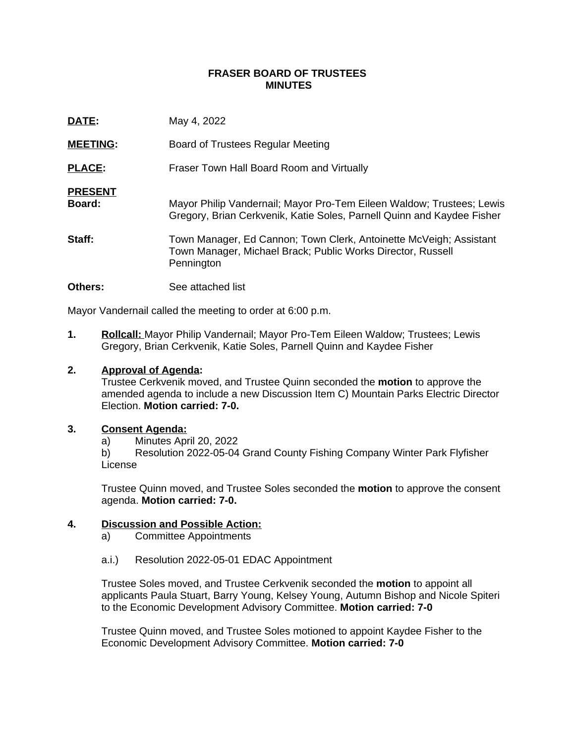### **FRASER BOARD OF TRUSTEES MINUTES**

| DATE:                    | May 4, 2022                                                                                                                                     |
|--------------------------|-------------------------------------------------------------------------------------------------------------------------------------------------|
| <b>MEETING:</b>          | Board of Trustees Regular Meeting                                                                                                               |
| <b>PLACE:</b>            | Fraser Town Hall Board Room and Virtually                                                                                                       |
| <b>PRESENT</b><br>Board: | Mayor Philip Vandernail; Mayor Pro-Tem Eileen Waldow; Trustees; Lewis<br>Gregory, Brian Cerkvenik, Katie Soles, Parnell Quinn and Kaydee Fisher |
| Staff:                   | Town Manager, Ed Cannon; Town Clerk, Antoinette McVeigh; Assistant<br>Town Manager, Michael Brack; Public Works Director, Russell<br>Pennington |
| <b>Others:</b>           | See attached list                                                                                                                               |

Mayor Vandernail called the meeting to order at 6:00 p.m.

**1. Rollcall:** Mayor Philip Vandernail; Mayor Pro-Tem Eileen Waldow; Trustees; Lewis Gregory, Brian Cerkvenik, Katie Soles, Parnell Quinn and Kaydee Fisher

# **2. Approval of Agenda:**

Trustee Cerkvenik moved, and Trustee Quinn seconded the **motion** to approve the amended agenda to include a new Discussion Item C) Mountain Parks Electric Director Election. **Motion carried: 7-0.**

## **3. Consent Agenda:**

a) Minutes April 20, 2022

b) Resolution 2022-05-04 Grand County Fishing Company Winter Park Flyfisher License

Trustee Quinn moved, and Trustee Soles seconded the **motion** to approve the consent agenda. **Motion carried: 7-0.**

## **4. Discussion and Possible Action:**

a) Committee Appointments

#### a.i.) [Resolution 2022-05-01 EDAC Appointment](https://www.frasercolorado.com/AgendaCenter/ViewFile/Item/4107?fileID=3649)

Trustee Soles moved, and Trustee Cerkvenik seconded the **motion** to appoint all applicants Paula Stuart, Barry Young, Kelsey Young, Autumn Bishop and Nicole Spiteri to the Economic Development Advisory Committee. **Motion carried: 7-0**

Trustee Quinn moved, and Trustee Soles motioned to appoint Kaydee Fisher to the Economic Development Advisory Committee. **Motion carried: 7-0**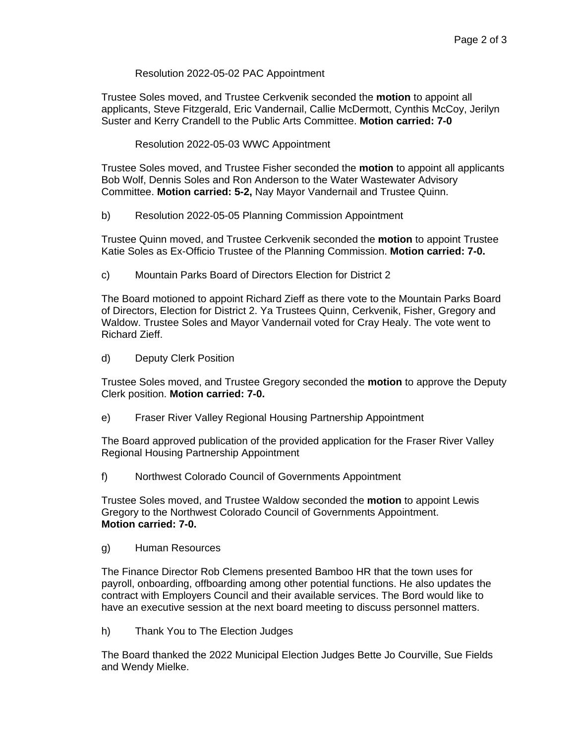# [Resolution 2022-05-02 PAC Appointment](https://www.frasercolorado.com/AgendaCenter/ViewFile/Item/4107?fileID=3650)

Trustee Soles moved, and Trustee Cerkvenik seconded the **motion** to appoint all applicants, Steve Fitzgerald, Eric Vandernail, Callie McDermott, Cynthis McCoy, Jerilyn Suster and Kerry Crandell to the Public Arts Committee. **Motion carried: 7-0**

## [Resolution 2022-05-03 WWC Appointment](https://www.frasercolorado.com/AgendaCenter/ViewFile/Item/4107?fileID=3651)

Trustee Soles moved, and Trustee Fisher seconded the **motion** to appoint all applicants Bob Wolf, Dennis Soles and Ron Anderson to the Water Wastewater Advisory Committee. **Motion carried: 5-2,** Nay Mayor Vandernail and Trustee Quinn.

b) Resolution 2022-05-05 Planning Commission Appointment

Trustee Quinn moved, and Trustee Cerkvenik seconded the **motion** to appoint Trustee Katie Soles as Ex-Officio Trustee of the Planning Commission. **Motion carried: 7-0.**

c) Mountain Parks Board of Directors Election for District 2

The Board motioned to appoint Richard Zieff as there vote to the Mountain Parks Board of Directors, Election for District 2. Ya Trustees Quinn, Cerkvenik, Fisher, Gregory and Waldow. Trustee Soles and Mayor Vandernail voted for Cray Healy. The vote went to Richard Zieff.

d) Deputy Clerk Position

Trustee Soles moved, and Trustee Gregory seconded the **motion** to approve the Deputy Clerk position. **Motion carried: 7-0.**

e) Fraser River Valley Regional Housing Partnership Appointment

The Board approved publication of the provided application for the Fraser River Valley Regional Housing Partnership Appointment

f) Northwest Colorado Council of Governments Appointment

Trustee Soles moved, and Trustee Waldow seconded the **motion** to appoint Lewis Gregory to the Northwest Colorado Council of Governments Appointment. **Motion carried: 7-0.**

g) Human Resources

The Finance Director Rob Clemens presented Bamboo HR that the town uses for payroll, onboarding, offboarding among other potential functions. He also updates the contract with Employers Council and their available services. The Bord would like to have an executive session at the next board meeting to discuss personnel matters.

h) Thank You to The Election Judges

The Board thanked the 2022 Municipal Election Judges Bette Jo Courville, Sue Fields and Wendy Mielke.